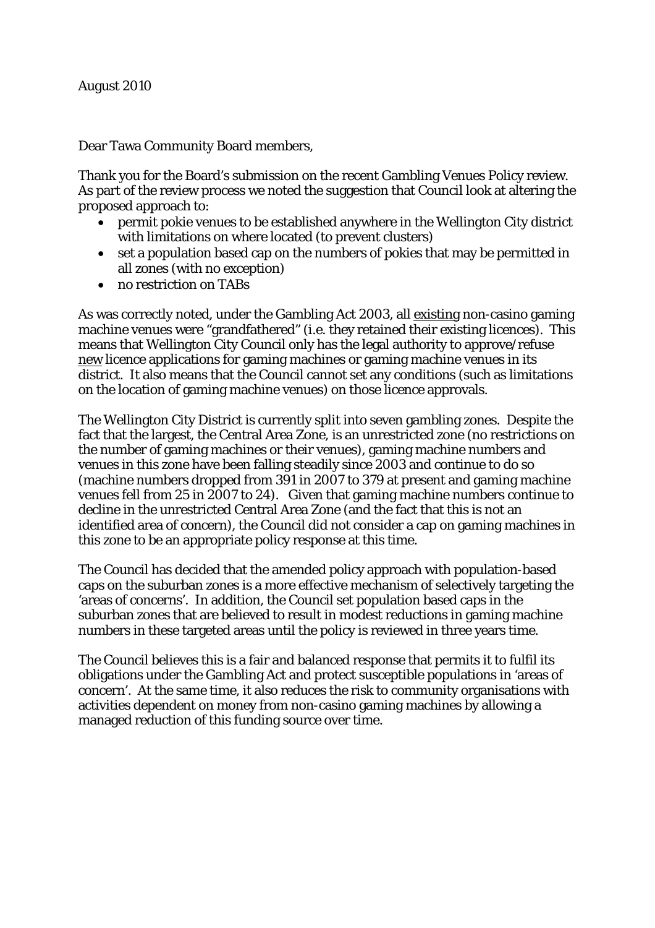Dear Tawa Community Board members,

Thank you for the Board's submission on the recent Gambling Venues Policy review. As part of the review process we noted the suggestion that Council look at altering the proposed approach to:

- permit pokie venues to be established anywhere in the Wellington City district with limitations on where located (to prevent clusters)
- set a population based cap on the numbers of pokies that may be permitted in all zones (with no exception)
- no restriction on TABs

As was correctly noted, under the Gambling Act 2003, all existing non-casino gaming machine venues were "grandfathered" (i.e. they retained their existing licences). This means that Wellington City Council only has the legal authority to approve/refuse new licence applications for gaming machines or gaming machine venues in its district. It also means that the Council cannot set any conditions (such as limitations on the location of gaming machine venues) on those licence approvals.

The Wellington City District is currently split into seven gambling zones. Despite the fact that the largest, the Central Area Zone, is an unrestricted zone (no restrictions on the number of gaming machines or their venues), gaming machine numbers and venues in this zone have been falling steadily since 2003 and continue to do so (machine numbers dropped from 391 in 2007 to 379 at present and gaming machine venues fell from 25 in 2007 to 24). Given that gaming machine numbers continue to decline in the unrestricted Central Area Zone (and the fact that this is not an identified area of concern), the Council did not consider a cap on gaming machines in this zone to be an appropriate policy response at this time.

The Council has decided that the amended policy approach with population-based caps on the suburban zones is a more effective mechanism of selectively targeting the 'areas of concerns'. In addition, the Council set population based caps in the suburban zones that are believed to result in modest reductions in gaming machine numbers in these targeted areas until the policy is reviewed in three years time.

The Council believes this is a fair and balanced response that permits it to fulfil its obligations under the Gambling Act and protect susceptible populations in 'areas of concern'. At the same time, it also reduces the risk to community organisations with activities dependent on money from non-casino gaming machines by allowing a managed reduction of this funding source over time.